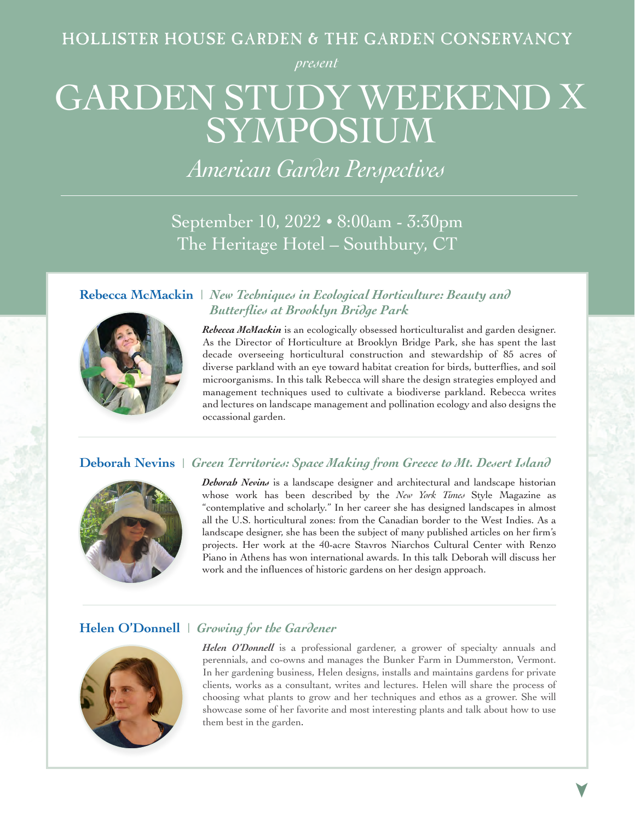*present*

# GARDEN STUDY WEEKEND X SYMPOSIUM

*American Garden Perspectives*

September 10, 2022 • 8:00am - 3:30pm The Heritage Hotel – Southbury, CT



**Rebecca McMackin** | *New Techniques in Ecological Horticulture: Beauty and Butterflies at Brooklyn Bridge Park*

> *Rebecca McMackin* is an ecologically obsessed horticulturalist and garden designer. As the Director of Horticulture at Brooklyn Bridge Park, she has spent the last decade overseeing horticultural construction and stewardship of 85 acres of diverse parkland with an eye toward habitat creation for birds, butterflies, and soil microorganisms. In this talk Rebecca will share the design strategies employed and management techniques used to cultivate a biodiverse parkland. Rebecca writes and lectures on landscape management and pollination ecology and also designs the occassional garden.

### **Deborah Nevins** | *Green Territories: Space Making from Greece to Mt. Desert Island*



*Deborah Nevins* is a landscape designer and architectural and landscape historian whose work has been described by the *New York Times* Style Magazine as "contemplative and scholarly." In her career she has designed landscapes in almost all the U.S. horticultural zones: from the Canadian border to the West Indies. As a landscape designer, she has been the subject of many published articles on her firm's projects. Her work at the 40-acre Stavros Niarchos Cultural Center with Renzo Piano in Athens has won international awards. In this talk Deborah will discuss her work and the influences of historic gardens on her design approach.

### **Helen O'Donnell** | *Growing for the Gardener*



*Helen O'Donnell* is a professional gardener, a grower of specialty annuals and perennials, and co-owns and manages the Bunker Farm in Dummerston, Vermont. In her gardening business, Helen designs, installs and maintains gardens for private clients, works as a consultant, writes and lectures. Helen will share the process of choosing what plants to grow and her techniques and ethos as a grower. She will showcase some of her favorite and most interesting plants and talk about how to use them best in the garden.